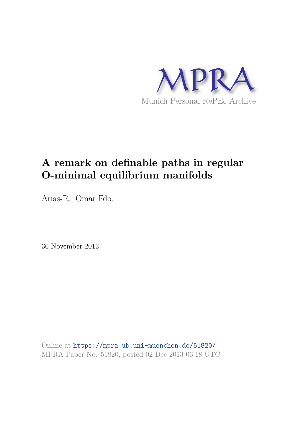

# **A remark on definable paths in regular O-minimal equilibrium manifolds**

Arias-R., Omar Fdo.

30 November 2013

Online at https://mpra.ub.uni-muenchen.de/51820/ MPRA Paper No. 51820, posted 02 Dec 2013 06:18 UTC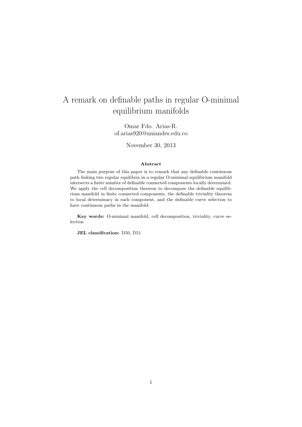## A remark on definable paths in regular O-minimal equilibrium manifolds

Omar Fdo. Arias-R. of.arias920@uniandes.edu.co

November 30, 2013

#### Abstract

The main purpose of this paper is to remark that any definable continuous path linking two regular equilibria in a regular O-minimal equilibrium manifold intersects a finite number of definable connected components locally determined. We apply the cell decomposition theorem to decompose the definable equilibrium manifold in finite connected components, the definable triviality theorem to local determinacy in each component, and the definable curve selection to have continuous paths in the manifold.

Key words: O-minimal manifold, cell decomposition, triviality, curve selection

JEL classification: D50, D51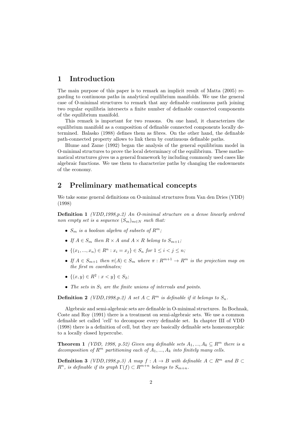#### 1 Introduction

The main purpose of this paper is to remark an implicit result of Matta (2005) regarding to continuous paths in analytical equilibrium manifolds. We use the general case of O-minimal structures to remark that any definable continuous path joining two regular equilibria intersects a finite number of definable connected components of the equilibrium manifold.

This remark is important for two reasons. On one hand, it characterizes the equilibrium manifold as a composition of definable connected components locally determined. Balasko (1988) defines them as fibres. On the other hand, the definable path-connected property allows to link them by continuous definable paths.

Blume and Zame (1992) began the analysis of the general equilibrium model in O-minimal structures to prove the local determinacy of the equilibrium. These mathematical structures gives us a general framework by including commonly used cases like algebraic functions. We use them to characterize paths by changing the endowments of the economy.

#### 2 Preliminary mathematical concepts

We take some general definitions on O-minimal structures from Van den Dries (VDD) (1998)

**Definition 1** (VDD,1998, p.2) An O-minimal structure on a dense linearly ordered non empty set is a sequence  $(S_m)_{m \in N}$  such that:

- $S_m$  is a boolean algebra of subsets of  $R^m$ ;
- If  $A \in S_m$  then  $R \times A$  and  $A \times R$  belong to  $S_{m+1}$ ;
- $\{(x_1, ..., x_n) \in R^n : x_i = x_j\} \in S_n$  for  $1 \le i < j \le n$ ;
- If  $A \in S_{m+1}$  then  $\pi(A) \in S_m$  where  $\pi : R^{m+1} \to R^m$  is the projection map on the first m coordinates;
- $\{(x, y) \in R^2 : x < y\} \in S_2;$
- The sets in  $S_1$  are the finite unions of intervals and points.

**Definition 2** (VDD,1998,p.2) A set  $A \subset \mathbb{R}^m$  is definable if it belongs to  $S_n$ .

Algebraic and semi-algebraic sets are definable in O-minimal structures. In Bochnak, Coste and Roy (1991) there is a treatment on semi-algebraic sets. We use a common definable set called 'cell' to decompose every definable set. In chapter III of VDD (1998) there is a definition of cell, but they are basically definable sets homeomorphic to a locally closed hypercube.

**Theorem 1** (VDD, 1998, p.52) Given any definable sets  $A_1, ..., A_k \subseteq R^m$  there is a decomposition of  $R^m$  partitioning each of  $A_1, ..., A_k$  into finitely many cells.

**Definition 3** (VDD,1998,p.3) A map  $f : A \rightarrow B$  with definable  $A \subset R^m$  and  $B \subset$  $R^n$ , is definable if its graph  $\Gamma(f) \subset R^{m+n}$  belongs to  $S_{m+n}$ .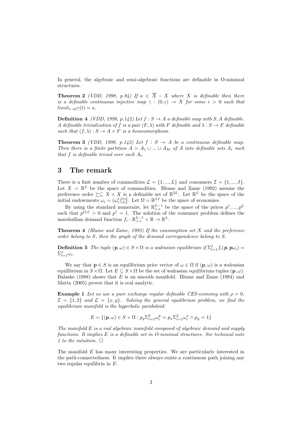In general, the algebraic and semi-algebraic functions are definable in O-minimal structures.

**Theorem 2** (VDD, 1998, p.94) If  $a \in \overline{X} - X$  where X is definable then there is a definable continuous injective map  $\gamma : (0, \epsilon) \to X$  for some  $\epsilon > 0$  such that  $limit_{t\rightarrow0}\gamma(t)=a.$ 

**Definition 4** (VDD, 1998, p.142) Let  $f : S \to A$  a definable map with S, A definable. A definable trivialization of f is a pair  $(F, \lambda)$  with F definable and  $\lambda : S \to F$  definable such that  $(f, \lambda) : S \to A \times F$  is a homeomorphism.

**Theorem 3** (VDD, 1998, p.142) Let  $f : S \rightarrow A$  be a continuous definable map. Then there is a finite partition  $A = A_1 \cup ... \cup A_M$  of A into definable sets  $A_i$  such that f is definable trivial over each  $A_i$ .

#### 3 The remark

There is a finit number of commodities  $\mathcal{L} = \{1, ..., L\}$  and consumers  $\mathcal{I} = \{1, ..., I\}$ . Let  $X = \mathbb{R}^L$  be the space of commodities. Blume and Zame (1992) assume the preference order  $\sum_{n=1}^{\infty} X \times X$  is a definable set of  $\mathbb{R}^{2L}$ . Let  $\mathbb{R}^{L}$  be the space of the initial endowments  $\omega_i = (\omega_i^l)_{i \in \mathcal{I}}^{l \in \mathcal{L}}$ . Let  $\Omega = \mathbb{R}^{LI}$  be the space of economies.

By using the standard numeraire, let  $\mathbb{R}_{++}^{L-1}$  be the space of the prices  $p^1,...,p^L$ such that  $p^{\tilde{l}\in\mathcal{L}} > 0$  and  $p^1 = 1$ . The solution of the consumer problem defines the marshallian demand function  $f_i: \mathbb{R}_{++}^{L-1} \times \mathbb{R} \to \mathbb{R}^L$ .

**Theorem 4** (Blume and Zame, 1992) If the consumption set  $X$  and the preference order belong to S, then the graph of the demand correspondence belong to S.

**Definition 5** The tuple  $(p, \omega) \in S \times \Omega$  is a walrasian equilibrium if  $\Sigma_{i=1}^I f_i(p, p\omega_i) =$  $\Sigma_{i=1}^I \omega_i$ .

We say that  $p \in S$  is an equilibrium price vector of  $\omega \in \Omega$  if  $(p, \omega)$  is a walrasian equilibrium in  $S \times \Omega$ . Let  $E \subseteq S \times \Omega$  be the set of walrasian equilibrium tuples  $(\mathbf{p}, \omega)$ . Balasko (1988) shows that  $E$  is an smooth manifold. Blume and Zame (1994) and Matta (2005) proves that it is real analytic.

**Example 1** Let us use a pure exchange regular definable CES-economy with  $\rho = 0$ ,  $\mathcal{I} = \{1, 2\}$  and  $\mathcal{L} = \{x, y\}$ . Solving the general equilibrium problem, we find the equilibrium manifold is the hyperbolic paraboloid:

$$
E = \{(\pmb{p}, \omega) \in S \times \Omega : p_y \Sigma_{i=1}^2 \omega_i^y = p_x \Sigma_{i=1}^2 \omega_i^x \wedge p_y = 1\}
$$

The manifold  $E$  is a real algebraic manifold composed of algebraic demand and supply functions. It implies E is a definable set in O-minimal structures. See technical note 1 to the intuition.  $\Box$ 

The manifold E has many interesting properties. We are particularly interested in the path-connectedness. It implies there always exists a continuous path joining any two regular equilibria in E.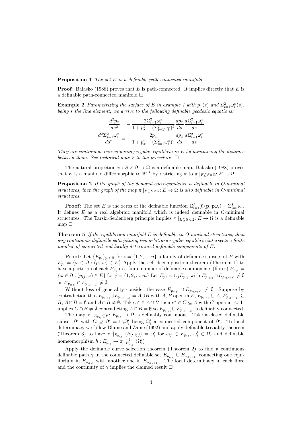**Proposition 1** The set  $E$  is a definable path-connected manifold.

**Proof:** Balasko (1988) proves that E is path-connected. It implies directly that E is a definable path-connected manifold  $\square$ 

**Example 2** Parametrizing the surface of E in example 1 with  $p_x(s)$  and  $\Sigma_{i=1}^2 \omega_i^x(s)$ , being s the line element, we arrive to the following definable geodesic equations:

$$
\begin{aligned} \frac{d^2 p_x}{ds^2}=&-\frac{2\Sigma_{i=1}^2\omega_i^x}{1+p_x^2+(\Sigma_{i=1}^2\omega_i^x)^2}\frac{dp_x}{ds}\frac{d\Sigma_{i=1}^2\omega_i^x}{ds}\\ \frac{d^2\Sigma_{i=1}^2\omega_i^x}{ds^2}=&-\frac{2p_x}{1+p_x^2+(\Sigma_{i=1}^2\omega_i^x)^2}\frac{dp_x}{ds}\frac{d\Sigma_{i=1}^2\omega_i^x}{ds} \end{aligned}
$$

They are continuous curves joining regular equilibria in  $E$  by minimizing the distance between them. See technical note 2 to the procedure.  $\Box$ 

The natural projection  $\pi : S \times \Omega \to \Omega$  is a definable map. Balasko (1988) proves that E is a manifold diffeomorphic to  $\mathbb{R}^{LI}$  by restricting  $\pi$  to  $\pi|_{E \subseteq S \times \Omega}: E \to \Omega$ .

Proposition 2 If the graph of the demand correspondence is definable in O-minimal structures, then the graph of the map  $\pi |_{E \subset S \times \Omega} : E \to \Omega$  is also definable in O-minimal structures.

**Proof:** The set E is the zeros of the definable function  $\Sigma_{i=1}^I f_i(\mathbf{p}, \mathbf{p}\omega_i) - \Sigma_{i=1}^I \omega_i$ . It defines  $E$  as a real algebraic manifold which is indeed definable in O-minimal structures. The Tarski-Seidenberg principle implies  $\pi |_{E \subset S \times \Omega} : E \to \Omega$  is a definable map  $\Box$ 

**Theorem 5** If the equilibrium manifold  $E$  is definable in O-minimal structures, then any continuous definable path joining two arbitrary regular equilibria intersects a finite number of connected and locally determined definable components of E.

**Proof:** Let  ${E_{p_i}}_{p_i \in S}$  for  $i = {1, 2, ..., n}$  a family of definable subsets of E with  $E_{p_i} = \{\omega \in \Omega : (p_i, \omega) \in E\}$  Apply the cell decomposition theorem (Theorem 1) to have a partition of each  $E_{p_i}$  in a finite number of definable components (fibres)  $E_{p_{ij}} =$  $\{\omega \in \Omega : (p_{ij}, \omega) \in E\}$  for  $j = \{1, 2, ..., m\}$  Let  $E_{p_i} = \cup_j E_{p_{ij}}$  with  $E_{p_{i(j)}} \cap \overline{E}_{p_{i(j+1)}} \neq \emptyset$ or  $\overline{E}_{p_{i(j)}} \cap E_{p_{i(j+1)}} \neq \emptyset$ .

Without loss of generality consider the case  $E_{p_{i(j)}} \cap E_{p_{i(j+1)}} \neq \emptyset$ . Suppose by contradiction that  $E_{p_{i(j)}} \cup E_{p_{i(j+1)}} = A \cup B$  with  $A, B$  open in  $E, E_{p_{i(j)}} \subseteq A, E_{p_{i(j+1)}} \subseteq$  $B, A \cap B = \emptyset$  and  $A \cap \overline{B} \neq \emptyset$ . Take  $e^* \in A \cap \overline{B}$  then  $e^* \in C \subseteq A$  with C open in A. It implies  $C \cap B \neq \emptyset$  contradicting  $A \cap B = \emptyset$  so  $E_{p_{i(j)}} \cup E_{p_{i(j+1)}}$  is definably connected.

The map  $\pi |_{E_{p_{ij}} \subseteq E}: E_{p_{ij}} \to \Omega$  is definably continuous. Take a closed definable subset  $\Omega'$  with  $\Omega \supseteq \Omega' = \cup_i \Omega'_i$  being  $\Omega'_i$  a connected component of  $\Omega'$ . To local determinacy we follow Blume and Zame (1992) and apply definable triviality theorem (Theorem 3) to have  $\pi |_{E_{p_{ij}}} (h(e_{ij})) = \omega'_i$  for  $e_{ij} \in E_{p_{ij}}, \omega'_i \in \Omega'_i$  and definable homeomorphism  $h: E_{p_{ij}} \to \pi \mid_{E_{p_{ij}}}^{-1} (\Omega'_i)$ 

Apply the definable curve selection theorem (Theorem 2) to find a continuous definable path  $\gamma$  in the connected definable set  $E_{p_{i(j)}} \cup E_{p_{i(j+1)}}$  connecting one equilibrium in  $E_{p_{i(j)}}$  with another one in  $E_{p_{i(j+1)}}$ . The local determinacy in each fibre and the continuity of  $\gamma$  implies the claimed result  $\Box$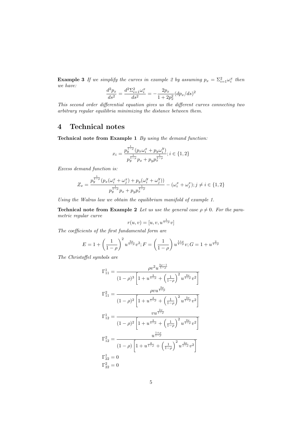**Example 3** If we simplify the curves in example 2 by assuming  $p_x = \sum_{i=1}^{2} \omega_i^x$  then we have:

$$
\frac{d^2 p_x}{ds^2} = \frac{d^2 \Sigma_{i=1}^2 \omega_i^x}{ds^2} = -\frac{2p_x}{1 + 2p_x^2} (dp_x/ds)^2
$$

This second order differential equation gives us the different curves connecting two arbitrary regular equilibria minimizing the distance between them.

### 4 Technical notes

Technical note from Example 1 By using the demand function:

$$
x_i = \frac{p_y^{\frac{1}{1-\rho}}(p_x \omega_i^x + p_y \omega_i^y)}{p_y^{\frac{1}{1-\rho}} p_x + p_y p_x^{\frac{1}{1-\rho}}}; i \in \{1, 2\}
$$

Excess demand function is:

$$
Z_x = \frac{p_y^{\frac{1}{1-\rho}}(p_x(\omega_i^x + \omega_j^x) + p_y(\omega_i^y + \omega_j^y))}{p_y^{\frac{1}{1-\rho}}p_x + p_yp_x^{\frac{1}{1-\rho}}} - (\omega_i^x + \omega_j^x); j \neq i \in \{1, 2\}
$$

Using the Walras law we obtain the equilibrium manifold of example 1.

**Technical note from Example 2** Let us use the general case  $\rho \neq 0$ . For the parametric regular curve

$$
r(u,v) = [u, v, u^{\frac{1}{1-\rho}}v]
$$

The coefficients of the first fundamental form are

$$
E = 1 + \left(\frac{1}{1-\rho}\right)^2 u^{\frac{2\rho}{1-\rho}} v^2; F = \left(\frac{1}{1-\rho}\right) u^{\frac{1+\rho}{1-\rho}} v; G = 1 + u^{\frac{2}{1-\rho}}
$$

The Christoffel symbols are

$$
\Gamma_{11}^{1} = \frac{\rho v^{2} u^{\frac{3\rho - 1}{1 - \rho}}}{(1 - \rho)^{3} \left[ 1 + u^{\frac{2}{1 - \rho}} + \left( \frac{1}{1 - \rho} \right)^{2} u^{\frac{2\rho}{1 - \rho}} v^{2} \right]}
$$
\n
$$
\Gamma_{11}^{2} = \frac{\rho v u^{\frac{2\rho}{1 - \rho}}}{(1 - \rho)^{2} \left[ 1 + u^{\frac{2}{1 - \rho}} + \left( \frac{1}{1 - \rho} \right)^{2} u^{\frac{2\rho}{1 - \rho}} v^{2} \right]}
$$
\n
$$
\Gamma_{12}^{1} = \frac{v u^{\frac{2\rho}{1 - \rho}}}{(1 - \rho)^{2} \left[ 1 + u^{\frac{2}{1 - \rho}} + \left( \frac{1}{1 - \rho} \right)^{2} u^{\frac{2\rho}{1 - \rho}} v^{2} \right]}
$$
\n
$$
\Gamma_{12}^{2} = \frac{u^{\frac{1 + \rho}{1 - \rho}}}{(1 - \rho) \left[ 1 + u^{\frac{2}{1 - \rho}} + \left( \frac{1}{1 - \rho} \right)^{2} u^{\frac{2\rho}{1 - \rho}} v^{2} \right]}
$$
\n
$$
\Gamma_{22}^{1} = 0
$$
\n
$$
\Gamma_{22}^{2} = 0
$$